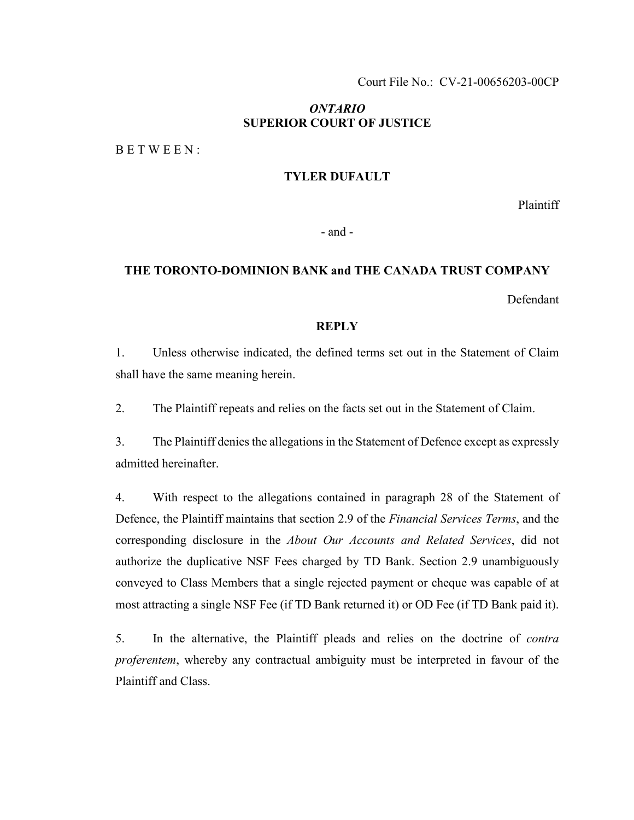Court File No.: CV-21-00656203-00CP

## *ONTARIO* **SUPERIOR COURT OF JUSTICE**

B E T W E E N :

### **TYLER DUFAULT**

Plaintiff

- and -

# **THE TORONTO-DOMINION BANK and THE CANADA TRUST COMPANY**

Defendant

#### **REPLY**

1. Unless otherwise indicated, the defined terms set out in the Statement of Claim shall have the same meaning herein.

2. The Plaintiff repeats and relies on the facts set out in the Statement of Claim.

3. The Plaintiff denies the allegations in the Statement of Defence except as expressly admitted hereinafter.

4. With respect to the allegations contained in paragraph 28 of the Statement of Defence, the Plaintiff maintains that section 2.9 of the *Financial Services Terms*, and the corresponding disclosure in the *About Our Accounts and Related Services*, did not authorize the duplicative NSF Fees charged by TD Bank. Section 2.9 unambiguously conveyed to Class Members that a single rejected payment or cheque was capable of at most attracting a single NSF Fee (if TD Bank returned it) or OD Fee (if TD Bank paid it).

5. In the alternative, the Plaintiff pleads and relies on the doctrine of *contra proferentem*, whereby any contractual ambiguity must be interpreted in favour of the Plaintiff and Class.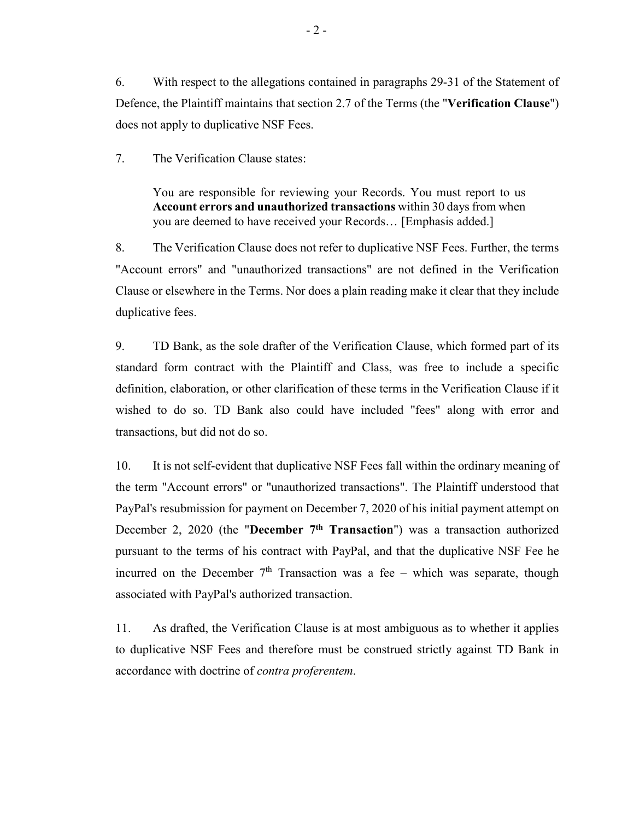6. With respect to the allegations contained in paragraphs 29-31 of the Statement of Defence, the Plaintiff maintains that section 2.7 of the Terms (the "**Verification Clause**") does not apply to duplicative NSF Fees.

7. The Verification Clause states:

You are responsible for reviewing your Records. You must report to us **Account errors and unauthorized transactions** within 30 days from when you are deemed to have received your Records… [Emphasis added.]

8. The Verification Clause does not refer to duplicative NSF Fees. Further, the terms "Account errors" and "unauthorized transactions" are not defined in the Verification Clause or elsewhere in the Terms. Nor does a plain reading make it clear that they include duplicative fees.

9. TD Bank, as the sole drafter of the Verification Clause, which formed part of its standard form contract with the Plaintiff and Class, was free to include a specific definition, elaboration, or other clarification of these terms in the Verification Clause if it wished to do so. TD Bank also could have included "fees" along with error and transactions, but did not do so.

10. It is not self-evident that duplicative NSF Fees fall within the ordinary meaning of the term "Account errors" or "unauthorized transactions". The Plaintiff understood that PayPal's resubmission for payment on December 7, 2020 of his initial payment attempt on December 2, 2020 (the "**December 7th Transaction**") was a transaction authorized pursuant to the terms of his contract with PayPal, and that the duplicative NSF Fee he incurred on the December  $7<sup>th</sup>$  Transaction was a fee – which was separate, though associated with PayPal's authorized transaction.

11. As drafted, the Verification Clause is at most ambiguous as to whether it applies to duplicative NSF Fees and therefore must be construed strictly against TD Bank in accordance with doctrine of *contra proferentem*.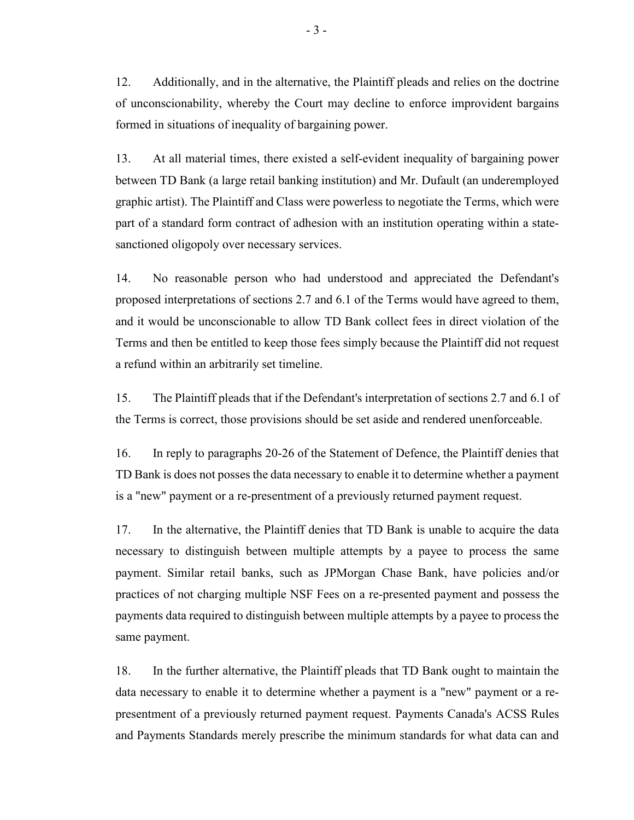12. Additionally, and in the alternative, the Plaintiff pleads and relies on the doctrine of unconscionability, whereby the Court may decline to enforce improvident bargains formed in situations of inequality of bargaining power.

13. At all material times, there existed a self-evident inequality of bargaining power between TD Bank (a large retail banking institution) and Mr. Dufault (an underemployed graphic artist). The Plaintiff and Class were powerless to negotiate the Terms, which were part of a standard form contract of adhesion with an institution operating within a statesanctioned oligopoly over necessary services.

14. No reasonable person who had understood and appreciated the Defendant's proposed interpretations of sections 2.7 and 6.1 of the Terms would have agreed to them, and it would be unconscionable to allow TD Bank collect fees in direct violation of the Terms and then be entitled to keep those fees simply because the Plaintiff did not request a refund within an arbitrarily set timeline.

15. The Plaintiff pleads that if the Defendant's interpretation of sections 2.7 and 6.1 of the Terms is correct, those provisions should be set aside and rendered unenforceable.

16. In reply to paragraphs 20-26 of the Statement of Defence, the Plaintiff denies that TD Bank is does not posses the data necessary to enable it to determine whether a payment is a "new" payment or a re-presentment of a previously returned payment request.

17. In the alternative, the Plaintiff denies that TD Bank is unable to acquire the data necessary to distinguish between multiple attempts by a payee to process the same payment. Similar retail banks, such as JPMorgan Chase Bank, have policies and/or practices of not charging multiple NSF Fees on a re-presented payment and possess the payments data required to distinguish between multiple attempts by a payee to process the same payment.

18. In the further alternative, the Plaintiff pleads that TD Bank ought to maintain the data necessary to enable it to determine whether a payment is a "new" payment or a representment of a previously returned payment request. Payments Canada's ACSS Rules and Payments Standards merely prescribe the minimum standards for what data can and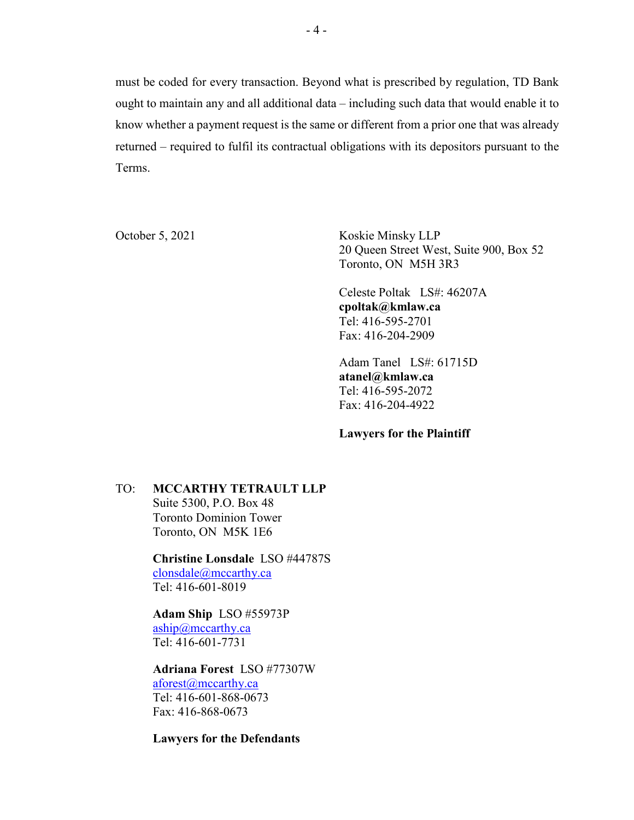must be coded for every transaction. Beyond what is prescribed by regulation, TD Bank ought to maintain any and all additional data – including such data that would enable it to know whether a payment request is the same or different from a prior one that was already returned – required to fulfil its contractual obligations with its depositors pursuant to the Terms.

October 5, 2021 Koskie Minsky LLP 20 Queen Street West, Suite 900, Box 52 Toronto, ON M5H 3R3

> Celeste Poltak LS#: 46207A **cpoltak@kmlaw.ca** Tel: 416-595-2701 Fax: 416-204-2909

Adam Tanel LS#: 61715D **atanel@kmlaw.ca** Tel: 416-595-2072 Fax: 416-204-4922

**Lawyers for the Plaintiff**

## TO: **MCCARTHY TETRAULT LLP**

Suite 5300, P.O. Box 48 Toronto Dominion Tower Toronto, ON M5K 1E6

**Christine Lonsdale** LSO #44787S [clonsdale@mccarthy.ca](mailto:clonsdale@mccarthy.ca) Tel: 416-601-8019

**Adam Ship** LSO #55973P [aship@mccarthy.ca](mailto:aship@mccarthy.ca)

Tel: 416-601-7731

# **Adriana Forest** LSO #77307W

[aforest@mccarthy.ca](mailto:aforest@mccarthy.ca) Tel: 416-601-868-0673 Fax: 416-868-0673

**Lawyers for the Defendants**